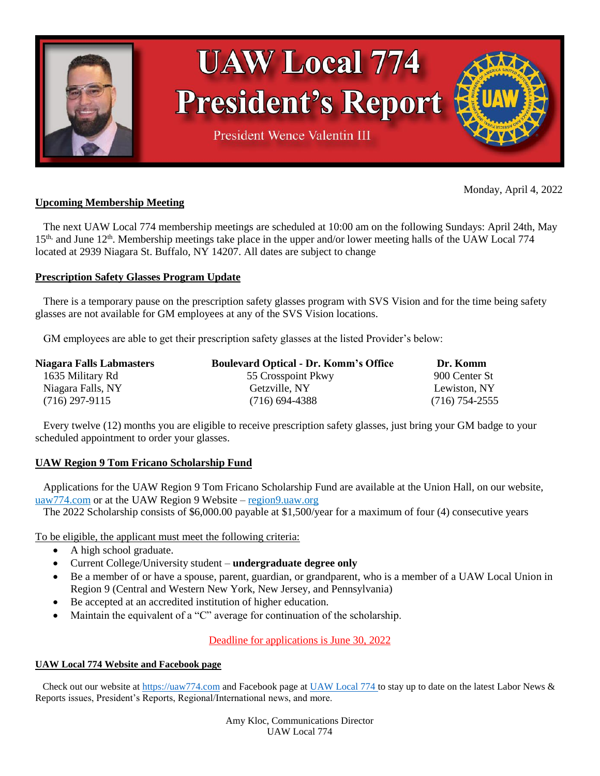

# **UAW Local 774 President's Report**

**President Wence Valentin III** 

# **Upcoming Membership Meeting**

 The next UAW Local 774 membership meetings are scheduled at 10:00 am on the following Sundays: April 24th, May 15<sup>th,</sup> and June 12<sup>th</sup>. Membership meetings take place in the upper and/or lower meeting halls of the UAW Local 774 located at 2939 Niagara St. Buffalo, NY 14207. All dates are subject to change

# **Prescription Safety Glasses Program Update**

 There is a temporary pause on the prescription safety glasses program with SVS Vision and for the time being safety glasses are not available for GM employees at any of the SVS Vision locations.

GM employees are able to get their prescription safety glasses at the listed Provider's below:

| <b>Niagara Falls Labmasters</b> | <b>Boulevard Optical - Dr. Komm's Office</b> | Dr. Komm         |
|---------------------------------|----------------------------------------------|------------------|
| 1635 Military Rd                | 55 Crosspoint Pkwy                           | 900 Center St    |
| Niagara Falls, NY               | Getzville, NY                                | Lewiston, NY     |
| $(716)$ 297-9115                | $(716)$ 694-4388                             | $(716)$ 754-2555 |

 Every twelve (12) months you are eligible to receive prescription safety glasses, just bring your GM badge to your scheduled appointment to order your glasses.

# **UAW Region 9 Tom Fricano Scholarship Fund**

 Applications for the UAW Region 9 Tom Fricano Scholarship Fund are available at the Union Hall, on our website, uaw774.com or at the UAW Region 9 Website – region9.uaw.org

The 2022 Scholarship consists of \$6,000.00 payable at \$1,500/year for a maximum of four (4) consecutive years

To be eligible, the applicant must meet the following criteria:

- A high school graduate.
- Current College/University student **undergraduate degree only**
- Be a member of or have a spouse, parent, guardian, or grandparent, who is a member of a UAW Local Union in Region 9 (Central and Western New York, New Jersey, and Pennsylvania)
- Be accepted at an accredited institution of higher education.
- Maintain the equivalent of a "C" average for continuation of the scholarship.

Deadline for applications is June 30, 2022

# **UAW Local 774 Website and Facebook page**

 Check out our website at [https://uaw774.com](https://uaw774.com/) and Facebook page at [UAW](https://uaw774.com/) Local 774 to stay up to date on the latest Labor News & Reports issues, President's Reports, Regional/International news, and more.

> Amy Kloc, Communications Director UAW Local 774

Monday, April 4, 2022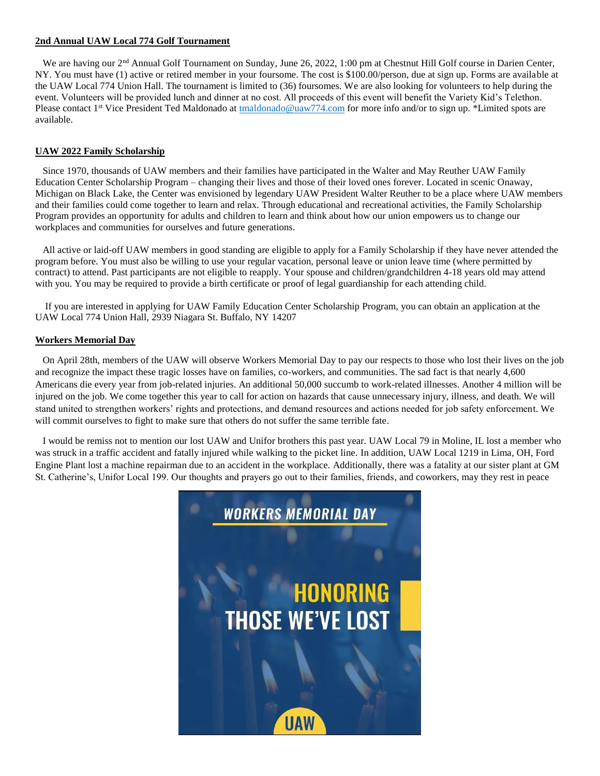#### **2nd Annual UAW Local 774 Golf Tournament**

We are having our 2<sup>nd</sup> Annual Golf Tournament on Sunday, June 26, 2022, 1:00 pm at Chestnut Hill Golf course in Darien Center, NY. You must have (1) active or retired member in your foursome. The cost is \$100.00/person, due at sign up. Forms are available at the UAW Local 774 Union Hall. The tournament is limited to (36) foursomes. We are also looking for volunteers to help during the event. Volunteers will be provided lunch and dinner at no cost. All proceeds of this event will benefit the Variety Kid's Telethon. Please contact 1<sup>st</sup> Vice President Ted Maldonado at [tmaldonado@uaw774.com](mailto:tmaldonado@uaw774.com) for more info and/or to sign up. \*Limited spots are available.

#### **UAW 2022 Family Scholarship**

 Since 1970, thousands of UAW members and their families have participated in the Walter and May Reuther UAW Family Education Center Scholarship Program – changing their lives and those of their loved ones forever. Located in scenic Onaway, Michigan on Black Lake, the Center was envisioned by legendary UAW President Walter Reuther to be a place where UAW members and their families could come together to learn and relax. Through educational and recreational activities, the Family Scholarship Program provides an opportunity for adults and children to learn and think about how our union empowers us to change our workplaces and communities for ourselves and future generations.

 All active or laid-off UAW members in good standing are eligible to apply for a Family Scholarship if they have never attended the program before. You must also be willing to use your regular vacation, personal leave or union leave time (where permitted by contract) to attend. Past participants are not eligible to reapply. Your spouse and children/grandchildren 4-18 years old may attend with you. You may be required to provide a birth certificate or proof of legal guardianship for each attending child.

 If you are interested in applying for UAW Family Education Center Scholarship Program, you can obtain an application at the UAW Local 774 Union Hall, 2939 Niagara St. Buffalo, NY 14207

#### **Workers Memorial Day**

 On April 28th, members of the UAW will observe Workers Memorial Day to pay our respects to those who lost their lives on the job and recognize the impact these tragic losses have on families, co-workers, and communities. The sad fact is that nearly 4,600 Americans die every year from job-related injuries. An additional 50,000 succumb to work-related illnesses. Another 4 million will be injured on the job. We come together this year to call for action on hazards that cause unnecessary injury, illness, and death. We will stand united to strengthen workers' rights and protections, and demand resources and actions needed for job safety enforcement. We will commit ourselves to fight to make sure that others do not suffer the same terrible fate.

 I would be remiss not to mention our lost UAW and Unifor brothers this past year. UAW Local 79 in Moline, IL lost a member who was struck in a traffic accident and fatally injured while walking to the picket line. In addition, UAW Local 1219 in Lima, OH, Ford Engine Plant lost a machine repairman due to an accident in the workplace. Additionally, there was a fatality at our sister plant at GM St. Catherine's, Unifor Local 199. Our thoughts and prayers go out to their families, friends, and coworkers, may they rest in peace